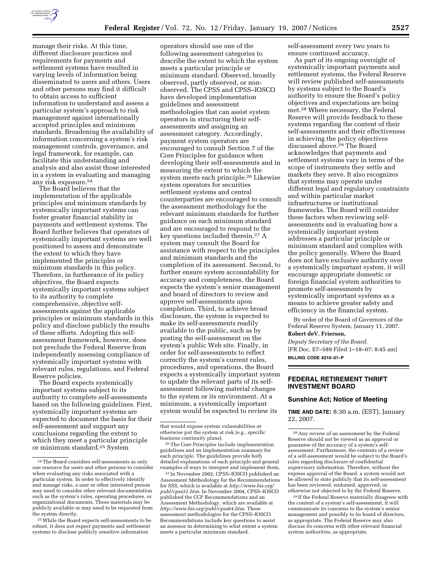

manage their risks. At this time, different disclosure practices and requirements for payments and settlement systems have resulted in varying levels of information being disseminated to users and others. Users and other persons may find it difficult to obtain access to sufficient information to understand and assess a particular system's approach to risk management against internationally accepted principles and minimum standards. Broadening the availability of information concerning a system's risk management controls, governance, and legal framework, for example, can facilitate this understanding and analysis and also assist those interested in a system in evaluating and managing any risk exposure.24

The Board believes that the implementation of the applicable principles and minimum standards by systemically important systems can foster greater financial stability in payments and settlement systems. The Board further believes that operators of systemically important systems are well positioned to assess and demonstrate the extent to which they have implemented the principles or minimum standards in this policy. Therefore, in furtherance of its policy objectives, the Board expects systemically important systems subject to its authority to complete comprehensive, objective selfassessments against the applicable principles or minimum standards in this policy and disclose publicly the results of these efforts. Adopting this selfassessment framework, however, does not preclude the Federal Reserve from independently assessing compliance of systemically important systems with relevant rules, regulations, and Federal Reserve policies.

The Board expects systemically important systems subject to its authority to complete self-assessments based on the following guidelines. First, systemically important systems are expected to document the basis for their self-assessment and support any conclusions regarding the extent to which they meet a particular principle or minimum standard.25 System

operators should use one of the following assessment categories to describe the extent to which the system meets a particular principle or minimum standard: Observed, broadly observed, partly observed, or nonobserved. The CPSS and CPSS–IOSCO have developed implementation guidelines and assessment methodologies that can assist system operators in structuring their selfassessments and assigning an assessment category. Accordingly, payment system operators are encouraged to consult Section 7 of the Core Principles for guidance when developing their self-assessments and in measuring the extent to which the system meets each principle.26 Likewise system operators for securities settlement systems and central counterparties are encouraged to consult the assessment methodology for the relevant minimum standards for further guidance on each minimum standard and are encouraged to respond to the key questions included therein.27 A system may consult the Board for assistance with respect to the principles and minimum standards and the completion of its assessment. Second, to further ensure system accountability for accuracy and completeness, the Board expects the system's senior management and board of directors to review and approve self-assessments upon completion. Third, to achieve broad disclosure, the system is expected to make its self-assessments readily available to the public, such as by posting the self-assessment on the system's public Web site. Finally, in order for self-assessments to reflect correctly the system's current rules, procedures, and operations, the Board expects a systemically important system to update the relevant parts of its selfassessment following material changes to the system or its environment. At a minimum, a systemically important system would be expected to review its

26The Core Principles include implementation guidelines and an implementation summary for each principle. The guidelines provide both detailed explanations of each principle and general examples of ways to interpret and implement them.

27 In November 2002, CPSS–IOSCO published an Assessment Methodology for the Recommendations for SSS, which is available at *http://www.bis.org/ publ/cpss51.htm*. In November 2004, CPSS–IOSCO published the CCP Recommendations and an Assessment Methodology, which are available at *http://www.bis.org/publ/cpss64.htm*. These assessment methodologies for the CPSS–IOSCO Recommendations include key questions to assist an assessor in determining to what extent a system meets a particular minimum standard.

self-assessment every two years to ensure continued accuracy.

As part of its ongoing oversight of systemically important payments and settlement systems, the Federal Reserve will review published self-assessments by systems subject to the Board's authority to ensure the Board's policy objectives and expectations are being met.28 Where necessary, the Federal Reserve will provide feedback to these systems regarding the content of their self-assessments and their effectiveness in achieving the policy objectives discussed above.29 The Board acknowledges that payments and settlement systems vary in terms of the scope of instruments they settle and markets they serve. It also recognizes that systems may operate under different legal and regulatory constraints and within particular market infrastructures or institutional frameworks. The Board will consider these factors when reviewing selfassessments and in evaluating how a systemically important system addresses a particular principle or minimum standard and complies with the policy generally. Where the Board does not have exclusive authority over a systemically important system, it will encourage appropriate domestic or foreign financial system authorities to promote self-assessments by systemically important systems as a means to achieve greater safety and efficiency in the financial system.

By order of the Board of Governors of the Federal Reserve System, January 11, 2007. **Robert deV. Frierson,** 

*Deputy Secretary of the Board.*  [FR Doc. E7–589 Filed 1–18–07; 8:45 am] **BILLING CODE 6210–01–P** 

### **FEDERAL RETIREMENT THRIFT INVESTMENT BOARD**

#### **Sunshine Act; Notice of Meeting**

**TIME AND DATE:** 8:30 a.m. (EST), January 22, 2007.

<sup>24</sup>The Board considers self-assessments as only one resource for users and other persons to consider when evaluating any risks associated with a particular system. In order to effectively identify and manage risks, a user or other interested person may need to consider other relevant documentation such as the system's rules, operating procedures, or organizational documents. These materials may be publicly available or may need to be requested from the system directly.

<sup>25</sup>While the Board expects self-assessments to be robust, it does not expect payments and settlement systems to disclose publicly sensitive information

that would expose system vulnerabilities or otherwise put the system at risk (e.g., specific business continuity plans).

<sup>28</sup>Any review of an assessment by the Federal Reserve should not be viewed as an approval or guarantee of the accuracy of a system's selfassessment. Furthermore, the contents of a review of a self-assessment would be subject to the Board's rules regarding disclosure of confidential supervisory information. Therefore, without the express approval of the Board, a system would not be allowed to state publicly that its self-assessment has been reviewed, endorsed, approved, or otherwise not objected to by the Federal Reserve.

<sup>29</sup> If the Federal Reserve materially disagrees with the content of a system's self-assessment, it will communicate its concerns to the system's senior management and possibly to its board of directors, as appropriate. The Federal Reserve may also discuss its concerns with other relevant financial system authorities, as appropriate.